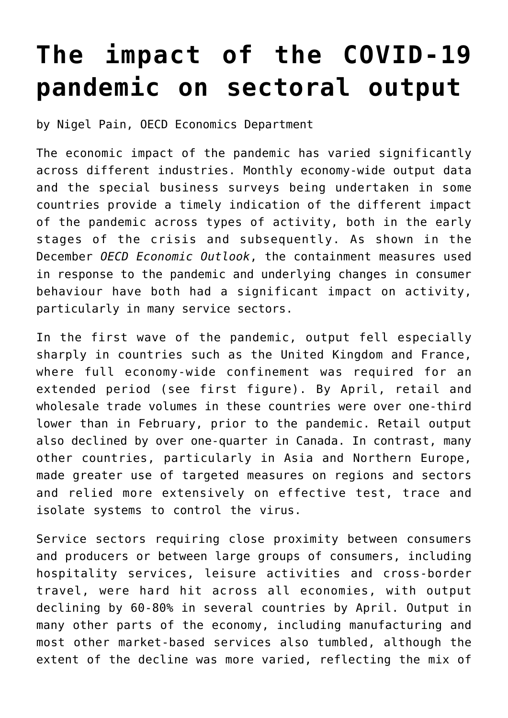## **[The impact of the COVID-19](https://oecdecoscope.blog/2020/12/12/the-impact-of-the-covid-19-pandemic-on-sectoral-output/) [pandemic on sectoral output](https://oecdecoscope.blog/2020/12/12/the-impact-of-the-covid-19-pandemic-on-sectoral-output/)**

by Nigel Pain, OECD Economics Department

The economic impact of the pandemic has varied significantly across different industries. Monthly economy-wide output data and the special business surveys being undertaken in some countries provide a timely indication of the different impact of the pandemic across types of activity, both in the early stages of the crisis and subsequently. As shown in the December *[OECD Economic Outlook](http://www.oecd.org/economic-outlook/december-2020/)*, the containment measures used in response to the pandemic and underlying changes in consumer behaviour have both had a significant impact on activity, particularly in many service sectors.

In the first wave of the pandemic, output fell especially sharply in countries such as the United Kingdom and France, where full economy-wide confinement was required for an extended period (see first figure). By April, retail and wholesale trade volumes in these countries were over one-third lower than in February, prior to the pandemic. Retail output also declined by over one-quarter in Canada. In contrast, many other countries, particularly in Asia and Northern Europe, made greater use of targeted measures on regions and sectors and relied more extensively on effective test, trace and isolate systems to control the virus.

Service sectors requiring close proximity between consumers and producers or between large groups of consumers, including hospitality services, leisure activities and cross-border travel, were hard hit across all economies, with output declining by 60-80% in several countries by April. Output in many other parts of the economy, including manufacturing and most other market-based services also tumbled, although the extent of the decline was more varied, reflecting the mix of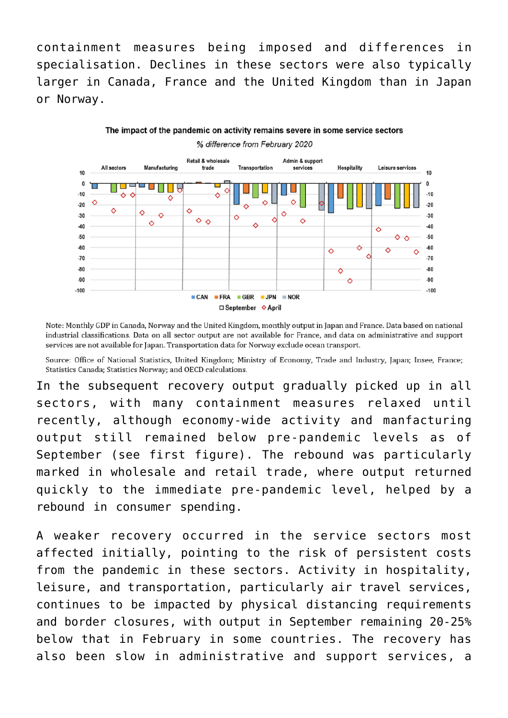containment measures being imposed and differences in specialisation. Declines in these sectors were also typically larger in Canada, France and the United Kingdom than in Japan or Norway.

The impact of the pandemic on activity remains severe in some service sectors

% difference from February 2020 Retail & wholesale Admin & support Transportation Hospitality All sectors Manufacturing trade .<br>services Leisure services  $10$  $10$  $\mathbf 0$  $\mathbf 0$ ┲ n e  $-10$ Δ  $-10$  $\circ$  $\ddot{\diamond}$ ♦ ♦ O  $.20$  $-20$  $\ddot{\circ}$ ♦ ♦ Ò ♦  $-30$ Ŏ  $-30$  $\Diamond$  $\circ$   $\circ$  $\ddot{\circ}$  $\overline{\diamond}$  $\triangle$  $\mathbf{A}$ **40**  $\ddot{\circ}$  $-50$  $-50$  $\triangle$  $-60$ Ò  $-60$  $\ddot{\mathbf{\circ}}$ Δ  $\overline{\mathcal{L}}$  $-70$  $-70$  $-80$ -80 Ò  $-90$ -90 Δ

Note: Monthly GDP in Canada, Norway and the United Kingdom, monthly output in Japan and France. Data based on national industrial classifications. Data on all sector output are not available for France, and data on administrative and support services are not available for Japan. Transportation data for Norway exclude ocean transport.

□ September ◇ April

 $NOR$ 

CAN FRA GBR JPN

 $-100$ 

 $-100$ 

Source: Office of National Statistics, United Kingdom; Ministry of Economy, Trade and Industry, Japan; Insee, France; Statistics Canada; Statistics Norway; and OECD calculations.

In the subsequent recovery output gradually picked up in all sectors, with many containment measures relaxed until recently, although economy-wide activity and manfacturing output still remained below pre-pandemic levels as of September (see first figure). The rebound was particularly marked in wholesale and retail trade, where output returned quickly to the immediate pre‑pandemic level, helped by a rebound in consumer spending.

A weaker recovery occurred in the service sectors most affected initially, pointing to the risk of persistent costs from the pandemic in these sectors. Activity in hospitality, leisure, and transportation, particularly air travel services, continues to be impacted by physical distancing requirements and border closures, with output in September remaining 20-25% below that in February in some countries. The recovery has also been slow in administrative and support services, a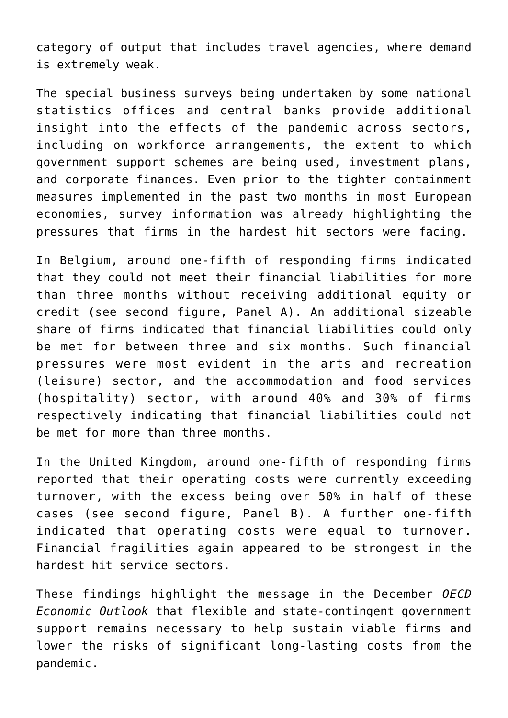category of output that includes travel agencies, where demand is extremely weak.

The special business surveys being undertaken by some national statistics offices and central banks provide additional insight into the effects of the pandemic across sectors, including on workforce arrangements, the extent to which government support schemes are being used, investment plans, and corporate finances. Even prior to the tighter containment measures implemented in the past two months in most European economies, survey information was already highlighting the pressures that firms in the hardest hit sectors were facing.

In Belgium, around one-fifth of responding firms indicated that they could not meet their financial liabilities for more than three months without receiving additional equity or credit (see second figure, Panel A). An additional sizeable share of firms indicated that financial liabilities could only be met for between three and six months. Such financial pressures were most evident in the arts and recreation (leisure) sector, and the accommodation and food services (hospitality) sector, with around 40% and 30% of firms respectively indicating that financial liabilities could not be met for more than three months.

In the United Kingdom, around one-fifth of responding firms reported that their operating costs were currently exceeding turnover, with the excess being over 50% in half of these cases (see second figure, Panel B). A further one-fifth indicated that operating costs were equal to turnover. Financial fragilities again appeared to be strongest in the hardest hit service sectors.

These findings highlight the message in the December *[OECD](http://www.oecd.org/economic-outlook/december-2020/) [Economic Outlook](http://www.oecd.org/economic-outlook/december-2020/)* that flexible and state-contingent government support remains necessary to help sustain viable firms and lower the risks of significant long-lasting costs from the pandemic.